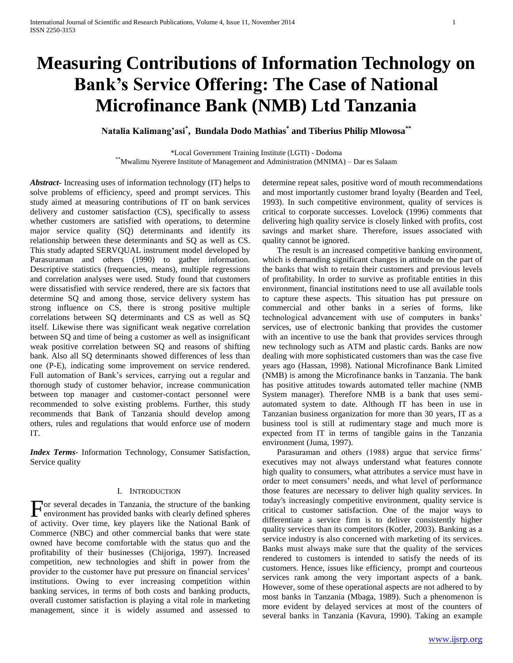# **Measuring Contributions of Information Technology on Bank's Service Offering: The Case of National Microfinance Bank (NMB) Ltd Tanzania**

**Natalia Kalimang'asi\* , Bundala Dodo Mathias\* and Tiberius Philip Mlowosa\*\***

\*Local Government Training Institute (LGTI) - Dodoma

\*\*Mwalimu Nyerere Institute of Management and Administration (MNIMA) – Dar es Salaam

*Abstract***-** Increasing uses of information technology (IT) helps to solve problems of efficiency, speed and prompt services. This study aimed at measuring contributions of IT on bank services delivery and customer satisfaction (CS), specifically to assess whether customers are satisfied with operations, to determine major service quality (SQ) determinants and identify its relationship between these determinants and SQ as well as CS. This study adapted SERVQUAL instrument model developed by Parasuraman and others (1990) to gather information. Descriptive statistics (frequencies, means), multiple regressions and correlation analyses were used. Study found that customers were dissatisfied with service rendered, there are six factors that determine SQ and among those, service delivery system has strong influence on CS, there is strong positive multiple correlations between SQ determinants and CS as well as SQ itself. Likewise there was significant weak negative correlation between SQ and time of being a customer as well as insignificant weak positive correlation between SQ and reasons of shifting bank. Also all SQ determinants showed differences of less than one (P-E), indicating some improvement on service rendered. Full automation of Bank's services, carrying out a regular and thorough study of customer behavior, increase communication between top manager and customer-contact personnel were recommended to solve existing problems. Further, this study recommends that Bank of Tanzania should develop among others, rules and regulations that would enforce use of modern IT.

*Index Terms*- Information Technology, Consumer Satisfaction, Service quality

# I. INTRODUCTION

or several decades in Tanzania, the structure of the banking For several decades in Tanzania, the structure of the banking<br>environment has provided banks with clearly defined spheres of activity. Over time, key players like the National Bank of Commerce (NBC) and other commercial banks that were state owned have become comfortable with the status quo and the profitability of their businesses (Chijoriga, 1997). Increased competition, new technologies and shift in power from the provider to the customer have put pressure on financial services' institutions. Owing to ever increasing competition within banking services, in terms of both costs and banking products, overall customer satisfaction is playing a vital role in marketing management, since it is widely assumed and assessed to

determine repeat sales, positive word of mouth recommendations and most importantly customer brand loyalty (Bearden and Teel, 1993). In such competitive environment, quality of services is critical to corporate successes. Lovelock (1996) comments that delivering high quality service is closely linked with profits, cost savings and market share. Therefore, issues associated with quality cannot be ignored.

 The result is an increased competitive banking environment, which is demanding significant changes in attitude on the part of the banks that wish to retain their customers and previous levels of profitability. In order to survive as profitable entities in this environment, financial institutions need to use all available tools to capture these aspects. This situation has put pressure on commercial and other banks in a series of forms, like technological advancement with use of computers in banks' services, use of electronic banking that provides the customer with an incentive to use the bank that provides services through new technology such as ATM and plastic cards. Banks are now dealing with more sophisticated customers than was the case five years ago (Hassan, 1998). National Microfinance Bank Limited (NMB) is among the Microfinance banks in Tanzania. The bank has positive attitudes towards automated teller machine (NMB System manager). Therefore NMB is a bank that uses semiautomated system to date. Although IT has been in use in Tanzanian business organization for more than 30 years, IT as a business tool is still at rudimentary stage and much more is expected from IT in terms of tangible gains in the Tanzania environment (Juma, 1997).

 Parasuraman and others (1988) argue that service firms' executives may not always understand what features connote high quality to consumers, what attributes a service must have in order to meet consumers' needs, and what level of performance those features are necessary to deliver high quality services. In today's increasingly competitive environment, quality service is critical to customer satisfaction. One of the major ways to differentiate a service firm is to deliver consistently higher quality services than its competitors (Kotler, 2003). Banking as a service industry is also concerned with marketing of its services. Banks must always make sure that the quality of the services rendered to customers is intended to satisfy the needs of its customers. Hence, issues like efficiency, prompt and courteous services rank among the very important aspects of a bank. However, some of these operational aspects are not adhered to by most banks in Tanzania (Mbaga, 1989). Such a phenomenon is more evident by delayed services at most of the counters of several banks in Tanzania (Kavura, 1990). Taking an example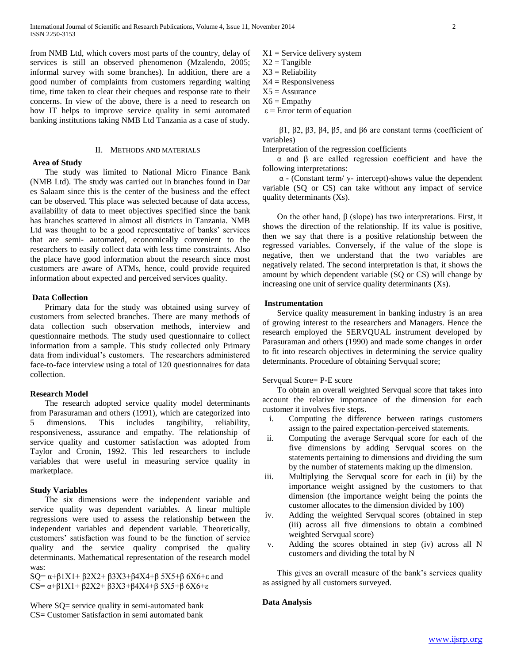from NMB Ltd, which covers most parts of the country, delay of services is still an observed phenomenon (Mzalendo, 2005; informal survey with some branches). In addition, there are a good number of complaints from customers regarding waiting time, time taken to clear their cheques and response rate to their concerns. In view of the above, there is a need to research on how IT helps to improve service quality in semi automated banking institutions taking NMB Ltd Tanzania as a case of study.

## II. METHODS AND MATERIALS

## **Area of Study**

 The study was limited to National Micro Finance Bank (NMB Ltd). The study was carried out in branches found in Dar es Salaam since this is the center of the business and the effect can be observed. This place was selected because of data access, availability of data to meet objectives specified since the bank has branches scattered in almost all districts in Tanzania. NMB Ltd was thought to be a good representative of banks' services that are semi- automated, economically convenient to the researchers to easily collect data with less time constraints. Also the place have good information about the research since most customers are aware of ATMs, hence, could provide required information about expected and perceived services quality.

## **Data Collection**

 Primary data for the study was obtained using survey of customers from selected branches. There are many methods of data collection such observation methods, interview and questionnaire methods. The study used questionnaire to collect information from a sample. This study collected only Primary data from individual's customers. The researchers administered face-to-face interview using a total of 120 questionnaires for data collection.

## **Research Model**

 The research adopted service quality model determinants from Parasuraman and others (1991), which are categorized into 5 dimensions. This includes tangibility, reliability, responsiveness, assurance and empathy. The relationship of service quality and customer satisfaction was adopted from Taylor and Cronin, 1992. This led researchers to include variables that were useful in measuring service quality in marketplace.

# **Study Variables**

 The six dimensions were the independent variable and service quality was dependent variables. A linear multiple regressions were used to assess the relationship between the independent variables and dependent variable. Theoretically, customers' satisfaction was found to be the function of service quality and the service quality comprised the quality determinants. Mathematical representation of the research model was:

SQ=  $\alpha$ +β1X1+ β2X2+ β3X3+β4X4+β 5X5+β 6X6+ε and CS= α+β1X1+ β2X2+ β3X3+β4X4+β 5X5+β 6X6+ε

Where SQ= service quality in semi-automated bank CS= Customer Satisfaction in semi automated bank

 $X1$  = Service delivery system

- $X2 = Tangible$
- $X3 = Reliability$
- $X4 =$  Responsiveness
- $X5 =$  Assurance
- $X6 =$  Empathy
- $\epsilon$  = Error term of equation

 β1, β2, β3, β4, β5, and β6 are constant terms (coefficient of variables)

Interpretation of the regression coefficients

 α and β are called regression coefficient and have the following interpretations:

 $\alpha$  - (Constant term/ y- intercept)-shows value the dependent variable (SQ or CS) can take without any impact of service quality determinants (Xs).

On the other hand,  $β$  (slope) has two interpretations. First, it shows the direction of the relationship. If its value is positive, then we say that there is a positive relationship between the regressed variables. Conversely, if the value of the slope is negative, then we understand that the two variables are negatively related. The second interpretation is that, it shows the amount by which dependent variable (SQ or CS) will change by increasing one unit of service quality determinants (Xs).

# **Instrumentation**

 Service quality measurement in banking industry is an area of growing interest to the researchers and Managers. Hence the research employed the SERVQUAL instrument developed by Parasuraman and others (1990) and made some changes in order to fit into research objectives in determining the service quality determinants. Procedure of obtaining Servqual score;

## Servqual Score= P-E score

 To obtain an overall weighted Servqual score that takes into account the relative importance of the dimension for each customer it involves five steps.

- i. Computing the difference between ratings customers assign to the paired expectation-perceived statements.
- ii. Computing the average Servqual score for each of the five dimensions by adding Servqual scores on the statements pertaining to dimensions and dividing the sum by the number of statements making up the dimension.
- iii. Multiplying the Servqual score for each in (ii) by the importance weight assigned by the customers to that dimension (the importance weight being the points the customer allocates to the dimension divided by 100)
- iv. Adding the weighted Servqual scores (obtained in step (iii) across all five dimensions to obtain a combined weighted Servqual score)
- v. Adding the scores obtained in step (iv) across all N customers and dividing the total by N

 This gives an overall measure of the bank's services quality as assigned by all customers surveyed.

# **Data Analysis**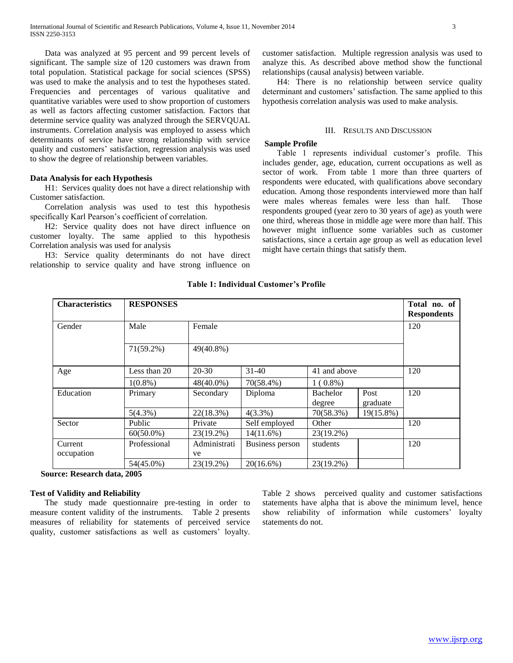Data was analyzed at 95 percent and 99 percent levels of significant. The sample size of 120 customers was drawn from total population. Statistical package for social sciences (SPSS) was used to make the analysis and to test the hypotheses stated. Frequencies and percentages of various qualitative and quantitative variables were used to show proportion of customers as well as factors affecting customer satisfaction. Factors that determine service quality was analyzed through the SERVQUAL instruments. Correlation analysis was employed to assess which determinants of service have strong relationship with service quality and customers' satisfaction, regression analysis was used to show the degree of relationship between variables.

# **Data Analysis for each Hypothesis**

 H1: Services quality does not have a direct relationship with Customer satisfaction.

 Correlation analysis was used to test this hypothesis specifically Karl Pearson's coefficient of correlation.

 H2: Service quality does not have direct influence on customer loyalty. The same applied to this hypothesis Correlation analysis was used for analysis

 H3: Service quality determinants do not have direct relationship to service quality and have strong influence on

customer satisfaction. Multiple regression analysis was used to analyze this. As described above method show the functional relationships (causal analysis) between variable.

 H4: There is no relationship between service quality determinant and customers' satisfaction. The same applied to this hypothesis correlation analysis was used to make analysis.

## III. RESULTS AND DISCUSSION

## **Sample Profile**

 Table 1 represents individual customer's profile. This includes gender, age, education, current occupations as well as sector of work. From table 1 more than three quarters of respondents were educated, with qualifications above secondary education. Among those respondents interviewed more than half were males whereas females were less than half. Those respondents grouped (year zero to 30 years of age) as youth were one third, whereas those in middle age were more than half. This however might influence some variables such as customer satisfactions, since a certain age group as well as education level might have certain things that satisfy them.

| <b>Characteristics</b> | <b>RESPONSES</b> |                    |                 |                    |                  | Total no. of<br><b>Respondents</b> |  |  |
|------------------------|------------------|--------------------|-----------------|--------------------|------------------|------------------------------------|--|--|
| Gender                 | Male             | Female             |                 |                    |                  |                                    |  |  |
|                        | 71(59.2%)        | 49(40.8%)          |                 |                    |                  |                                    |  |  |
| Age                    | Less than 20     | $20 - 30$          | $31 - 40$       | 41 and above       |                  | 120                                |  |  |
|                        | $1(0.8\%)$       | 48(40.0%)          | 70(58.4%)       | $1(0.8\%)$         |                  |                                    |  |  |
| Education              | Primary          | Secondary          | Diploma         | Bachelor<br>degree | Post<br>graduate | 120                                |  |  |
|                        | $5(4.3\%)$       | 22(18.3%)          | $4(3.3\%)$      | 70(58.3%)          | 19(15.8%)        |                                    |  |  |
| Sector                 | Public           | Private            | Self employed   | Other              |                  | 120                                |  |  |
|                        | $60(50.0\%)$     | 23(19.2%)          | $14(11.6\%)$    | 23(19.2%)          |                  |                                    |  |  |
| Current<br>occupation  | Professional     | Administrati<br>ve | Business person | students           |                  | 120                                |  |  |
|                        | 54(45.0%)        | 23(19.2%)          | $20(16.6\%)$    | $23(19.2\%)$       |                  |                                    |  |  |

**Table 1: Individual Customer's Profile**

# **Source: Research data, 2005**

## **Test of Validity and Reliability**

 The study made questionnaire pre-testing in order to measure content validity of the instruments. Table 2 presents measures of reliability for statements of perceived service quality, customer satisfactions as well as customers' loyalty. Table 2 shows perceived quality and customer satisfactions statements have alpha that is above the minimum level, hence show reliability of information while customers' loyalty statements do not.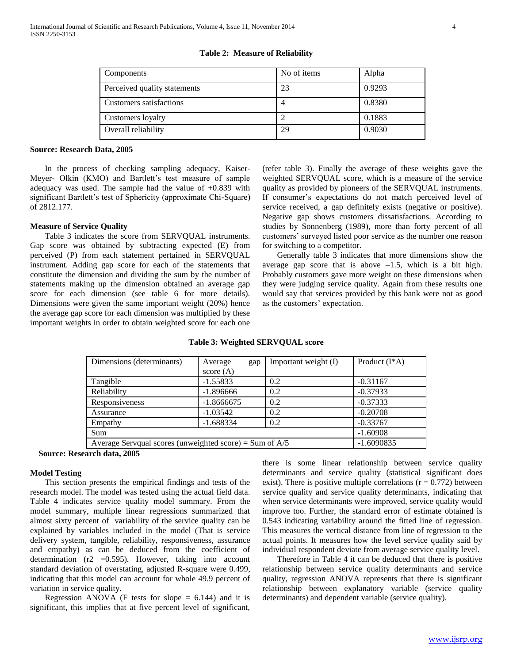| Components                   | No of items | Alpha  |
|------------------------------|-------------|--------|
| Perceived quality statements | 23          | 0.9293 |
| Customers satisfactions      | 4           | 0.8380 |
| Customers loyalty            |             | 0.1883 |
| Overall reliability          | 29          | 0.9030 |

**Table 2: Measure of Reliability**

#### **Source: Research Data, 2005**

 In the process of checking sampling adequacy, Kaiser-Meyer- Olkin (KMO) and Bartlett's test measure of sample adequacy was used. The sample had the value of +0.839 with significant Bartlett's test of Sphericity (approximate Chi-Square) of 2812.177.

## **Measure of Service Quality**

 Table 3 indicates the score from SERVQUAL instruments. Gap score was obtained by subtracting expected (E) from perceived (P) from each statement pertained in SERVQUAL instrument. Adding gap score for each of the statements that constitute the dimension and dividing the sum by the number of statements making up the dimension obtained an average gap score for each dimension (see table 6 for more details). Dimensions were given the same important weight (20%) hence the average gap score for each dimension was multiplied by these important weights in order to obtain weighted score for each one

(refer table 3). Finally the average of these weights gave the weighted SERVQUAL score, which is a measure of the service quality as provided by pioneers of the SERVQUAL instruments. If consumer's expectations do not match perceived level of service received, a gap definitely exists (negative or positive). Negative gap shows customers dissatisfactions. According to studies by Sonnenberg (1989), more than forty percent of all customers' surveyed listed poor service as the number one reason for switching to a competitor.

 Generally table 3 indicates that more dimensions show the average gap score that is above  $-1.5$ , which is a bit high. Probably customers gave more weight on these dimensions when they were judging service quality. Again from these results one would say that services provided by this bank were not as good as the customers' expectation.

| Dimensions (determinants)                                 | Average      | gap | Important weight (I) | Product $(I^*A)$ |
|-----------------------------------------------------------|--------------|-----|----------------------|------------------|
|                                                           | score $(A)$  |     |                      |                  |
| Tangible                                                  | $-1.55833$   |     | 0.2                  | $-0.31167$       |
| Reliability                                               | $-1.896666$  |     | 0.2                  | $-0.37933$       |
| Responsiveness                                            | $-1.8666675$ |     | 0.2                  | $-0.37333$       |
| Assurance                                                 | $-1.03542$   |     | 0.2                  | $-0.20708$       |
| Empathy                                                   | $-1.688334$  |     | 0.2                  | $-0.33767$       |
| Sum                                                       |              |     |                      | $-1.60908$       |
| Average Servqual scores (unweighted score) = Sum of $A/5$ | $-1.6090835$ |     |                      |                  |

#### **Table 3: Weighted SERVQUAL score**

**Source: Research data, 2005**

## **Model Testing**

 This section presents the empirical findings and tests of the research model. The model was tested using the actual field data. Table 4 indicates service quality model summary. From the model summary, multiple linear regressions summarized that almost sixty percent of variability of the service quality can be explained by variables included in the model (That is service delivery system, tangible, reliability, responsiveness, assurance and empathy) as can be deduced from the coefficient of determination  $(r2 = 0.595)$ . However, taking into account standard deviation of overstating, adjusted R-square were 0.499, indicating that this model can account for whole 49.9 percent of variation in service quality.

Regression ANOVA (F tests for slope  $= 6.144$ ) and it is significant, this implies that at five percent level of significant,

there is some linear relationship between service quality determinants and service quality (statistical significant does exist). There is positive multiple correlations  $(r = 0.772)$  between service quality and service quality determinants, indicating that when service determinants were improved, service quality would improve too. Further, the standard error of estimate obtained is 0.543 indicating variability around the fitted line of regression. This measures the vertical distance from line of regression to the actual points. It measures how the level service quality said by individual respondent deviate from average service quality level.

 Therefore in Table 4 it can be deduced that there is positive relationship between service quality determinants and service quality, regression ANOVA represents that there is significant relationship between explanatory variable (service quality determinants) and dependent variable (service quality).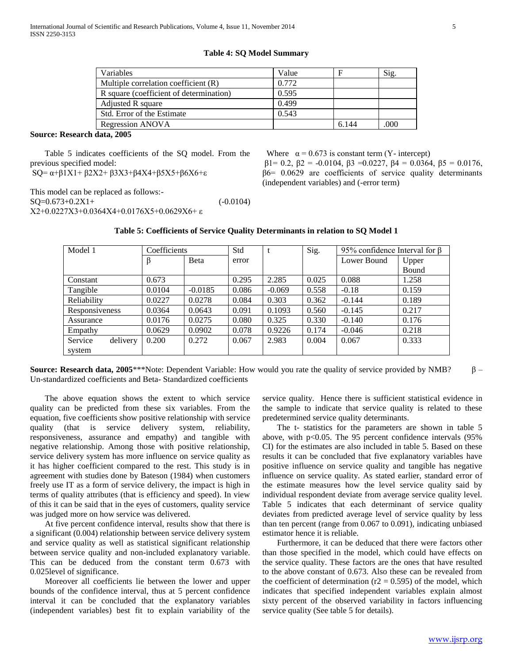**Table 4: SQ Model Summary**

| Variables                               | Value |       | Sig. |
|-----------------------------------------|-------|-------|------|
| Multiple correlation coefficient (R)    | 0.772 |       |      |
| R square (coefficient of determination) | 0.595 |       |      |
| Adjusted R square                       | 0.499 |       |      |
| Std. Error of the Estimate              | 0.543 |       |      |
| Regression ANOVA                        |       | 6.144 | .000 |

# **Source: Research data, 2005**

 Table 5 indicates coefficients of the SQ model. From the previous specified model:

SQ= α+β1X1+ β2X2+ β3X3+β4X4+β5X5+β6X6+ε

This model can be replaced as follows:-  $SQ=0.673+0.2X1+$  (-0.0104) X2+0.0227X3+0.0364X4+0.0176X5+0.0629X6+ ε

| Model 1             |        | Coefficients |       | Std<br>Sig. |       | 95% confidence Interval for $\beta$ |       |
|---------------------|--------|--------------|-------|-------------|-------|-------------------------------------|-------|
|                     | β      | Beta         | error |             |       | Lower Bound                         | Upper |
|                     |        |              |       |             |       |                                     | Bound |
| Constant            | 0.673  |              | 0.295 | 2.285       | 0.025 | 0.088                               | 1.258 |
| Tangible            | 0.0104 | $-0.0185$    | 0.086 | $-0.069$    | 0.558 | $-0.18$                             | 0.159 |
| Reliability         | 0.0227 | 0.0278       | 0.084 | 0.303       | 0.362 | $-0.144$                            | 0.189 |
| Responsiveness      | 0.0364 | 0.0643       | 0.091 | 0.1093      | 0.560 | $-0.145$                            | 0.217 |
| Assurance           | 0.0176 | 0.0275       | 0.080 | 0.325       | 0.330 | $-0.140$                            | 0.176 |
| Empathy             | 0.0629 | 0.0902       | 0.078 | 0.9226      | 0.174 | $-0.046$                            | 0.218 |
| delivery<br>Service | 0.200  | 0.272        | 0.067 | 2.983       | 0.004 | 0.067                               | 0.333 |
| system              |        |              |       |             |       |                                     |       |

# **Table 5: Coefficients of Service Quality Determinants in relation to SQ Model 1**

**Source: Research data, 2005**\*\*\*Note: Dependent Variable: How would you rate the quality of service provided by NMB? β – Un-standardized coefficients and Beta- Standardized coefficients

 The above equation shows the extent to which service quality can be predicted from these six variables. From the equation, five coefficients show positive relationship with service quality (that is service delivery system, reliability, responsiveness, assurance and empathy) and tangible with negative relationship. Among those with positive relationship, service delivery system has more influence on service quality as it has higher coefficient compared to the rest. This study is in agreement with studies done by Bateson (1984) when customers freely use IT as a form of service delivery, the impact is high in terms of quality attributes (that is efficiency and speed). In view of this it can be said that in the eyes of customers, quality service was judged more on how service was delivered.

 At five percent confidence interval, results show that there is a significant (0.004) relationship between service delivery system and service quality as well as statistical significant relationship between service quality and non-included explanatory variable. This can be deduced from the constant term 0.673 with 0.025level of significance.

 Moreover all coefficients lie between the lower and upper bounds of the confidence interval, thus at 5 percent confidence interval it can be concluded that the explanatory variables (independent variables) best fit to explain variability of the

service quality. Hence there is sufficient statistical evidence in the sample to indicate that service quality is related to these predetermined service quality determinants.

Where  $\alpha = 0.673$  is constant term (Y- intercept)

(independent variables) and (-error term)

β1= 0.2, β2 = -0.0104, β3 =0.0227, β4 = 0.0364, β5 = 0.0176, β6= 0.0629 are coefficients of service quality determinants

 The t- statistics for the parameters are shown in table 5 above, with  $p<0.05$ . The 95 percent confidence intervals (95%) CI) for the estimates are also included in table 5. Based on these results it can be concluded that five explanatory variables have positive influence on service quality and tangible has negative influence on service quality. As stated earlier, standard error of the estimate measures how the level service quality said by individual respondent deviate from average service quality level. Table 5 indicates that each determinant of service quality deviates from predicted average level of service quality by less than ten percent (range from 0.067 to 0.091), indicating unbiased estimator hence it is reliable.

 Furthermore, it can be deduced that there were factors other than those specified in the model, which could have effects on the service quality. These factors are the ones that have resulted to the above constant of 0.673. Also these can be revealed from the coefficient of determination ( $r2 = 0.595$ ) of the model, which indicates that specified independent variables explain almost sixty percent of the observed variability in factors influencing service quality (See table 5 for details).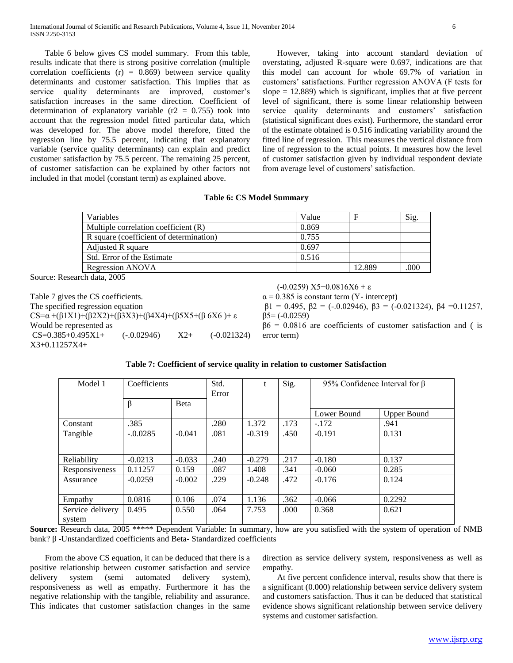Table 6 below gives CS model summary. From this table, results indicate that there is strong positive correlation (multiple correlation coefficients  $(r) = 0.869$  between service quality determinants and customer satisfaction. This implies that as service quality determinants are improved, customer's satisfaction increases in the same direction. Coefficient of determination of explanatory variable ( $r2 = 0.755$ ) took into account that the regression model fitted particular data, which was developed for. The above model therefore, fitted the regression line by 75.5 percent, indicating that explanatory variable (service quality determinants) can explain and predict customer satisfaction by 75.5 percent. The remaining 25 percent, of customer satisfaction can be explained by other factors not included in that model (constant term) as explained above.

 However, taking into account standard deviation of overstating, adjusted R-square were 0.697, indications are that this model can account for whole 69.7% of variation in customers' satisfactions. Further regression ANOVA (F tests for slope  $= 12.889$ ) which is significant, implies that at five percent level of significant, there is some linear relationship between service quality determinants and customers' satisfaction (statistical significant does exist). Furthermore, the standard error of the estimate obtained is 0.516 indicating variability around the fitted line of regression. This measures the vertical distance from line of regression to the actual points. It measures how the level of customer satisfaction given by individual respondent deviate from average level of customers' satisfaction.

## **Table 6: CS Model Summary**

| <b>Variables</b>                        | Value |        | Sig. |
|-----------------------------------------|-------|--------|------|
| Multiple correlation coefficient (R)    | 0.869 |        |      |
| R square (coefficient of determination) | 0.755 |        |      |
| Adjusted R square                       | 0.697 |        |      |
| Std. Error of the Estimate              | 0.516 |        |      |
| Regression ANOVA                        |       | 12.889 | .000 |

Source: Research data, 2005

Model

| Table 7 gives the CS coefficients.                                                                          |              |       |               |  |  |
|-------------------------------------------------------------------------------------------------------------|--------------|-------|---------------|--|--|
| The specified regression equation                                                                           |              |       |               |  |  |
| $CS = \alpha + (\beta 1X1) + (\beta 2X2) + (\beta 3X3) + (\beta 4X4) + (\beta 5X5 + (\beta 6X6) + \epsilon$ |              |       |               |  |  |
| Would be represented as                                                                                     |              |       |               |  |  |
| $CS=0.385+0.495X1+$                                                                                         | $(-0.02946)$ | $X2+$ | $(-0.021324)$ |  |  |
| $X3+0.11257X4+$                                                                                             |              |       |               |  |  |

(-0.0259) X5+0.0816X6 + ε

 $\alpha$  = 0.385 is constant term (Y- intercept)

β1 = 0.495, β2 = (-.0.02946), β3 = (-0.021324), β4 =0.11257,  $β5= (-0.0259)$  $\beta$ 6 = 0.0816 are coefficients of customer satisfaction and ( is

error term)

| Coefficients | Std.  | S12. | 95% Confidence Interval for $\beta$ |
|--------------|-------|------|-------------------------------------|
|              | Error |      |                                     |

**Table 7: Coefficient of service quality in relation to customer Satisfaction**

|                  |            |              | Error |          | ັ    |             |                    |
|------------------|------------|--------------|-------|----------|------|-------------|--------------------|
|                  | $\beta$    | <b>B</b> eta |       |          |      |             |                    |
|                  |            |              |       |          |      | Lower Bound | <b>Upper Bound</b> |
| Constant         | .385       |              | .280  | 1.372    | .173 | $-.172$     | .941               |
| Tangible         | $-.0.0285$ | $-0.041$     | .081  | $-0.319$ | .450 | $-0.191$    | 0.131              |
|                  |            |              |       |          |      |             |                    |
| Reliability      | $-0.0213$  | $-0.033$     | .240  | $-0.279$ | .217 | $-0.180$    | 0.137              |
| Responsiveness   | 0.11257    | 0.159        | .087  | 1.408    | .341 | $-0.060$    | 0.285              |
| Assurance        | $-0.0259$  | $-0.002$     | .229  | $-0.248$ | .472 | $-0.176$    | 0.124              |
|                  |            |              |       |          |      |             |                    |
| Empathy          | 0.0816     | 0.106        | .074  | 1.136    | .362 | $-0.066$    | 0.2292             |
| Service delivery | 0.495      | 0.550        | .064  | 7.753    | .000 | 0.368       | 0.621              |
| system           |            |              |       |          |      |             |                    |

**Source:** Research data, 2005 \*\*\*\*\* Dependent Variable: In summary, how are you satisfied with the system of operation of NMB bank? β -Unstandardized coefficients and Beta- Standardized coefficients

 From the above CS equation, it can be deduced that there is a positive relationship between customer satisfaction and service delivery system (semi automated delivery system), responsiveness as well as empathy. Furthermore it has the negative relationship with the tangible, reliability and assurance. This indicates that customer satisfaction changes in the same

direction as service delivery system, responsiveness as well as empathy.

 At five percent confidence interval, results show that there is a significant (0.000) relationship between service delivery system and customers satisfaction. Thus it can be deduced that statistical evidence shows significant relationship between service delivery systems and customer satisfaction.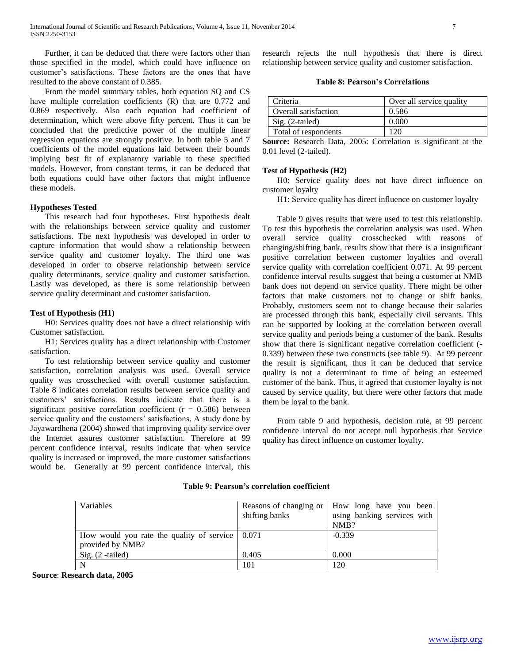Further, it can be deduced that there were factors other than those specified in the model, which could have influence on customer's satisfactions. These factors are the ones that have resulted to the above constant of 0.385.

 From the model summary tables, both equation SQ and CS have multiple correlation coefficients (R) that are 0.772 and 0.869 respectively. Also each equation had coefficient of determination, which were above fifty percent. Thus it can be concluded that the predictive power of the multiple linear regression equations are strongly positive. In both table 5 and 7 coefficients of the model equations laid between their bounds implying best fit of explanatory variable to these specified models. However, from constant terms, it can be deduced that both equations could have other factors that might influence these models.

## **Hypotheses Tested**

 This research had four hypotheses. First hypothesis dealt with the relationships between service quality and customer satisfactions. The next hypothesis was developed in order to capture information that would show a relationship between service quality and customer loyalty. The third one was developed in order to observe relationship between service quality determinants, service quality and customer satisfaction. Lastly was developed, as there is some relationship between service quality determinant and customer satisfaction.

# **Test of Hypothesis (H1)**

 H0: Services quality does not have a direct relationship with Customer satisfaction.

 H1: Services quality has a direct relationship with Customer satisfaction.

 To test relationship between service quality and customer satisfaction, correlation analysis was used. Overall service quality was crosschecked with overall customer satisfaction. Table 8 indicates correlation results between service quality and customers' satisfactions. Results indicate that there is a significant positive correlation coefficient ( $r = 0.586$ ) between service quality and the customers' satisfactions. A study done by Jayawardhena (2004) showed that improving quality service over the Internet assures customer satisfaction. Therefore at 99 percent confidence interval, results indicate that when service quality is increased or improved, the more customer satisfactions would be. Generally at 99 percent confidence interval, this research rejects the null hypothesis that there is direct relationship between service quality and customer satisfaction.

**Table 8: Pearson's Correlations**

| Criteria             | Over all service quality |
|----------------------|--------------------------|
| Overall satisfaction | 0.586                    |
| $Sig. (2-tailed)$    | 0.000                    |
| Total of respondents |                          |

**Source:** Research Data, 2005: Correlation is significant at the 0.01 level (2-tailed).

# **Test of Hypothesis (H2)**

 H0: Service quality does not have direct influence on customer loyalty

H1: Service quality has direct influence on customer loyalty

 Table 9 gives results that were used to test this relationship. To test this hypothesis the correlation analysis was used. When overall service quality crosschecked with reasons of changing/shifting bank, results show that there is a insignificant positive correlation between customer loyalties and overall service quality with correlation coefficient 0.071. At 99 percent confidence interval results suggest that being a customer at NMB bank does not depend on service quality. There might be other factors that make customers not to change or shift banks. Probably, customers seem not to change because their salaries are processed through this bank, especially civil servants. This can be supported by looking at the correlation between overall service quality and periods being a customer of the bank. Results show that there is significant negative correlation coefficient (- 0.339) between these two constructs (see table 9). At 99 percent the result is significant, thus it can be deduced that service quality is not a determinant to time of being an esteemed customer of the bank. Thus, it agreed that customer loyalty is not caused by service quality, but there were other factors that made them be loyal to the bank.

 From table 9 and hypothesis, decision rule, at 99 percent confidence interval do not accept null hypothesis that Service quality has direct influence on customer loyalty.

| <b>Variables</b>                                                                    | shifting banks | Reasons of changing or   How long have you been<br>using banking services with<br>NMB? |
|-------------------------------------------------------------------------------------|----------------|----------------------------------------------------------------------------------------|
| How would you rate the quality of service $\vert 0.071 \rangle$<br>provided by NMB? |                | $-0.339$                                                                               |
| Sig. $(2 - \text{tailed})$                                                          | 0.405          | 0.000                                                                                  |
|                                                                                     | 101            | 120                                                                                    |

**Table 9: Pearson's correlation coefficient**

**Source**: **Research data, 2005**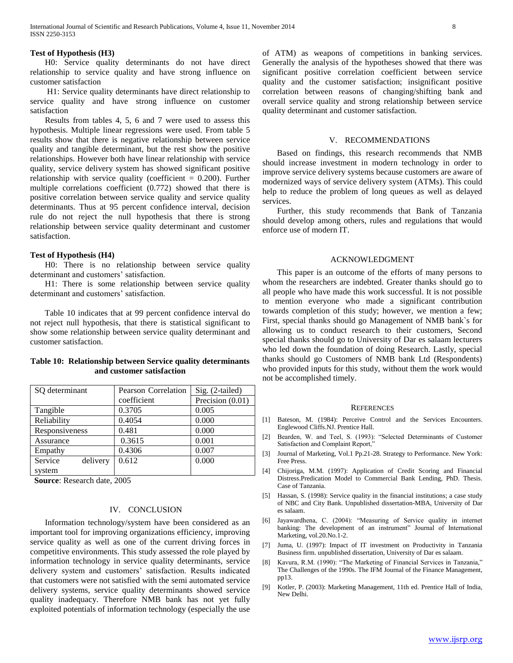## **Test of Hypothesis (H3)**

 H0: Service quality determinants do not have direct relationship to service quality and have strong influence on customer satisfaction

 H1: Service quality determinants have direct relationship to service quality and have strong influence on customer satisfaction

 Results from tables 4, 5, 6 and 7 were used to assess this hypothesis. Multiple linear regressions were used. From table 5 results show that there is negative relationship between service quality and tangible determinant, but the rest show the positive relationships. However both have linear relationship with service quality, service delivery system has showed significant positive relationship with service quality (coefficient  $= 0.200$ ). Further multiple correlations coefficient (0.772) showed that there is positive correlation between service quality and service quality determinants. Thus at 95 percent confidence interval, decision rule do not reject the null hypothesis that there is strong relationship between service quality determinant and customer satisfaction.

# **Test of Hypothesis (H4)**

 H0: There is no relationship between service quality determinant and customers' satisfaction.

 H1: There is some relationship between service quality determinant and customers' satisfaction.

 Table 10 indicates that at 99 percent confidence interval do not reject null hypothesis, that there is statistical significant to show some relationship between service quality determinant and customer satisfaction.

| SQ determinant      | <b>Pearson Correlation</b> | Sig. (2-tailed)  |  |
|---------------------|----------------------------|------------------|--|
|                     | coefficient                | Precision (0.01) |  |
| Tangible            | 0.3705                     | 0.005            |  |
| Reliability         | 0.4054                     | 0.000            |  |
| Responsiveness      | 0.481                      | 0.000            |  |
| Assurance           | 0.3615                     | 0.001            |  |
| Empathy             | 0.4306                     | 0.007            |  |
| Service<br>delivery | 0.612                      | 0.000            |  |
| system              |                            |                  |  |

**Table 10: Relationship between Service quality determinants and customer satisfaction**

 **Source**: Research date, 2005

# IV. CONCLUSION

 Information technology/system have been considered as an important tool for improving organizations efficiency, improving service quality as well as one of the current driving forces in competitive environments. This study assessed the role played by information technology in service quality determinants, service delivery system and customers' satisfaction. Results indicated that customers were not satisfied with the semi automated service delivery systems, service quality determinants showed service quality inadequacy. Therefore NMB bank has not yet fully exploited potentials of information technology (especially the use

of ATM) as weapons of competitions in banking services. Generally the analysis of the hypotheses showed that there was significant positive correlation coefficient between service quality and the customer satisfaction; insignificant positive correlation between reasons of changing/shifting bank and overall service quality and strong relationship between service quality determinant and customer satisfaction.

#### V. RECOMMENDATIONS

 Based on findings, this research recommends that NMB should increase investment in modern technology in order to improve service delivery systems because customers are aware of modernized ways of service delivery system (ATMs). This could help to reduce the problem of long queues as well as delayed services.

 Further, this study recommends that Bank of Tanzania should develop among others, rules and regulations that would enforce use of modern IT.

## ACKNOWLEDGMENT

 This paper is an outcome of the efforts of many persons to whom the researchers are indebted. Greater thanks should go to all people who have made this work successful. It is not possible to mention everyone who made a significant contribution towards completion of this study; however, we mention a few; First, special thanks should go Management of NMB bank`s for allowing us to conduct research to their customers, Second special thanks should go to University of Dar es salaam lecturers who led down the foundation of doing Research. Lastly, special thanks should go Customers of NMB bank Ltd (Respondents) who provided inputs for this study, without them the work would not be accomplished timely.

#### **REFERENCES**

- [1] Bateson, M. (1984): Perceive Control and the Services Encounters. Englewood Cliffs.NJ. Prentice Hall.
- [2] Bearden, W. and Teel, S. (1993): "Selected Determinants of Customer Satisfaction and Complaint Report,"
- [3] Journal of Marketing, Vol.1 Pp.21-28. Strategy to Performance. New York: Free Press.
- [4] Chijoriga, M.M. (1997): Application of Credit Scoring and Financial Distress.Predication Model to Commercial Bank Lending, PhD. Thesis. Case of Tanzania.
- [5] Hassan, S. (1998): Service quality in the financial institutions; a case study of NBC and City Bank. Unpublished dissertation-MBA, University of Dar es salaam.
- [6] Jayawardhena, C. (2004): "Measuring of Service quality in internet banking: The development of an instrument" Journal of International Marketing, vol.20.No.1-2.
- Juma, U. (1997): Impact of IT investment on Productivity in Tanzania Business firm. unpublished dissertation, University of Dar es salaam.
- [8] Kavura, R.M. (1990): "The Marketing of Financial Services in Tanzania," The Challenges of the 1990s. The IFM Journal of the Finance Management, pp13.
- [9] Kotler, P. (2003): Marketing Management, 11th ed. Prentice Hall of India, New Delhi.